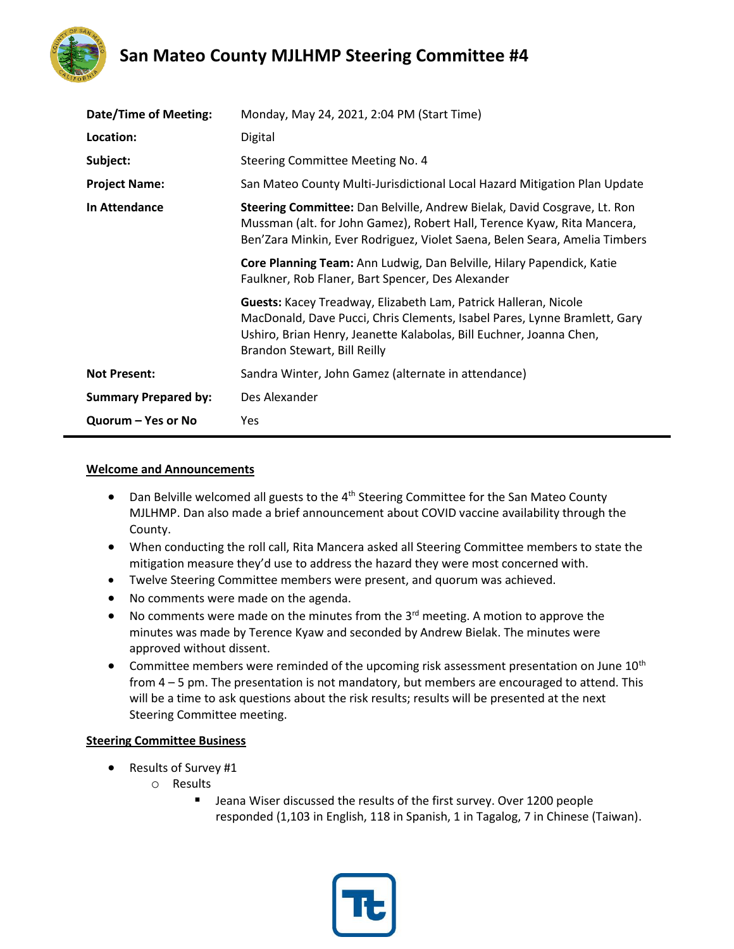

## **San Mateo County MJLHMP Steering Committee #4**

| <b>Date/Time of Meeting:</b> | Monday, May 24, 2021, 2:04 PM (Start Time)                                                                                                                                                                                                          |
|------------------------------|-----------------------------------------------------------------------------------------------------------------------------------------------------------------------------------------------------------------------------------------------------|
| Location:                    | Digital                                                                                                                                                                                                                                             |
| Subject:                     | Steering Committee Meeting No. 4                                                                                                                                                                                                                    |
| <b>Project Name:</b>         | San Mateo County Multi-Jurisdictional Local Hazard Mitigation Plan Update                                                                                                                                                                           |
| In Attendance                | Steering Committee: Dan Belville, Andrew Bielak, David Cosgrave, Lt. Ron<br>Mussman (alt. for John Gamez), Robert Hall, Terence Kyaw, Rita Mancera,<br>Ben'Zara Minkin, Ever Rodriguez, Violet Saena, Belen Seara, Amelia Timbers                   |
|                              | Core Planning Team: Ann Ludwig, Dan Belville, Hilary Papendick, Katie<br>Faulkner, Rob Flaner, Bart Spencer, Des Alexander                                                                                                                          |
|                              | Guests: Kacey Treadway, Elizabeth Lam, Patrick Halleran, Nicole<br>MacDonald, Dave Pucci, Chris Clements, Isabel Pares, Lynne Bramlett, Gary<br>Ushiro, Brian Henry, Jeanette Kalabolas, Bill Euchner, Joanna Chen,<br>Brandon Stewart, Bill Reilly |
| <b>Not Present:</b>          | Sandra Winter, John Gamez (alternate in attendance)                                                                                                                                                                                                 |
| <b>Summary Prepared by:</b>  | Des Alexander                                                                                                                                                                                                                                       |
| Quorum – Yes or No           | Yes                                                                                                                                                                                                                                                 |

#### **Welcome and Announcements**

- Dan Belville welcomed all guests to the 4<sup>th</sup> Steering Committee for the San Mateo County MJLHMP. Dan also made a brief announcement about COVID vaccine availability through the County.
- When conducting the roll call, Rita Mancera asked all Steering Committee members to state the mitigation measure they'd use to address the hazard they were most concerned with.
- Twelve Steering Committee members were present, and quorum was achieved.
- No comments were made on the agenda.
- $\bullet$  No comments were made on the minutes from the 3<sup>rd</sup> meeting. A motion to approve the minutes was made by Terence Kyaw and seconded by Andrew Bielak. The minutes were approved without dissent.
- Committee members were reminded of the upcoming risk assessment presentation on June 10<sup>th</sup> from 4 – 5 pm. The presentation is not mandatory, but members are encouraged to attend. This will be a time to ask questions about the risk results; results will be presented at the next Steering Committee meeting.

### **Steering Committee Business**

- Results of Survey #1
	- o Results
		- Jeana Wiser discussed the results of the first survey. Over 1200 people responded (1,103 in English, 118 in Spanish, 1 in Tagalog, 7 in Chinese (Taiwan).

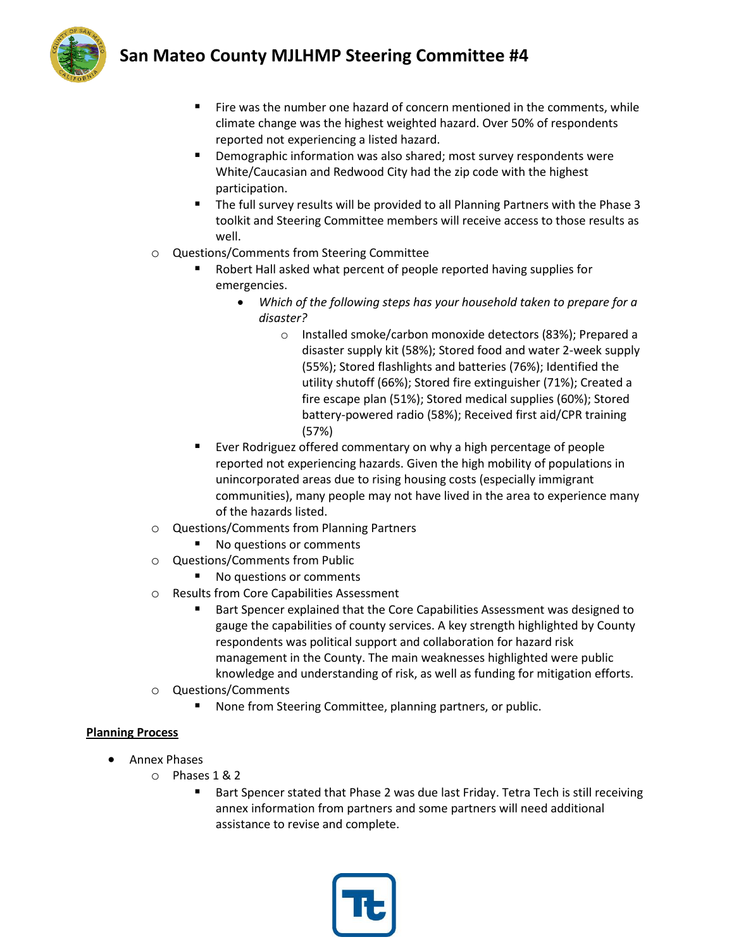# **San Mateo County MJLHMP Steering Committee #4**



- Fire was the number one hazard of concern mentioned in the comments, while climate change was the highest weighted hazard. Over 50% of respondents reported not experiencing a listed hazard.
- Demographic information was also shared; most survey respondents were White/Caucasian and Redwood City had the zip code with the highest participation.
- The full survey results will be provided to all Planning Partners with the Phase 3 toolkit and Steering Committee members will receive access to those results as well.
- o Questions/Comments from Steering Committee
	- Robert Hall asked what percent of people reported having supplies for emergencies.
		- *Which of the following steps has your household taken to prepare for a disaster?*
			- o Installed smoke/carbon monoxide detectors (83%); Prepared a disaster supply kit (58%); Stored food and water 2-week supply (55%); Stored flashlights and batteries (76%); Identified the utility shutoff (66%); Stored fire extinguisher (71%); Created a fire escape plan (51%); Stored medical supplies (60%); Stored battery-powered radio (58%); Received first aid/CPR training (57%)
	- Ever Rodriguez offered commentary on why a high percentage of people reported not experiencing hazards. Given the high mobility of populations in unincorporated areas due to rising housing costs (especially immigrant communities), many people may not have lived in the area to experience many of the hazards listed.
- o Questions/Comments from Planning Partners
	- No questions or comments
- o Questions/Comments from Public
	- No questions or comments
- o Results from Core Capabilities Assessment
	- Bart Spencer explained that the Core Capabilities Assessment was designed to gauge the capabilities of county services. A key strength highlighted by County respondents was political support and collaboration for hazard risk management in the County. The main weaknesses highlighted were public knowledge and understanding of risk, as well as funding for mitigation efforts.
- o Questions/Comments
	- None from Steering Committee, planning partners, or public.

## **Planning Process**

- Annex Phases
	- o Phases 1 & 2
		- Bart Spencer stated that Phase 2 was due last Friday. Tetra Tech is still receiving annex information from partners and some partners will need additional assistance to revise and complete.

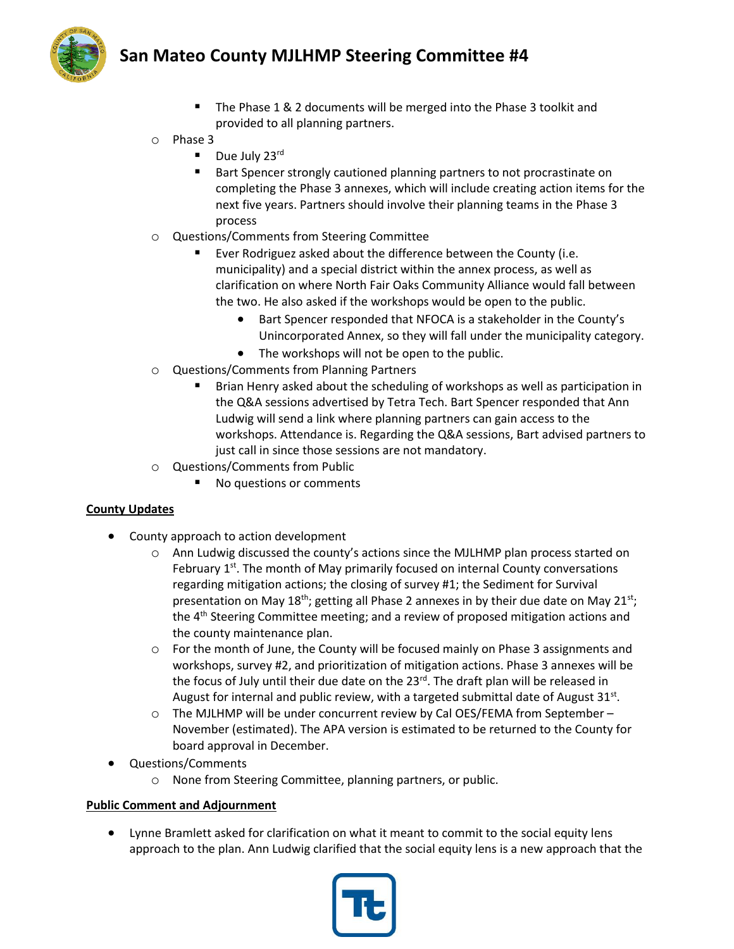## **San Mateo County MJLHMP Steering Committee #4**



- The Phase 1 & 2 documents will be merged into the Phase 3 toolkit and provided to all planning partners.
- o Phase 3
	- Due July 23rd
	- Bart Spencer strongly cautioned planning partners to not procrastinate on completing the Phase 3 annexes, which will include creating action items for the next five years. Partners should involve their planning teams in the Phase 3 process
- o Questions/Comments from Steering Committee
	- Ever Rodriguez asked about the difference between the County (i.e. municipality) and a special district within the annex process, as well as clarification on where North Fair Oaks Community Alliance would fall between the two. He also asked if the workshops would be open to the public.
		- Bart Spencer responded that NFOCA is a stakeholder in the County's Unincorporated Annex, so they will fall under the municipality category.
		- The workshops will not be open to the public.
- o Questions/Comments from Planning Partners
	- Brian Henry asked about the scheduling of workshops as well as participation in the Q&A sessions advertised by Tetra Tech. Bart Spencer responded that Ann Ludwig will send a link where planning partners can gain access to the workshops. Attendance is. Regarding the Q&A sessions, Bart advised partners to just call in since those sessions are not mandatory.
- o Questions/Comments from Public
	- No questions or comments

### **County Updates**

- County approach to action development
	- o Ann Ludwig discussed the county's actions since the MJLHMP plan process started on February 1<sup>st</sup>. The month of May primarily focused on internal County conversations regarding mitigation actions; the closing of survey #1; the Sediment for Survival presentation on May 18<sup>th</sup>; getting all Phase 2 annexes in by their due date on May 21<sup>st</sup>; the 4<sup>th</sup> Steering Committee meeting; and a review of proposed mitigation actions and the county maintenance plan.
	- o For the month of June, the County will be focused mainly on Phase 3 assignments and workshops, survey #2, and prioritization of mitigation actions. Phase 3 annexes will be the focus of July until their due date on the  $23<sup>rd</sup>$ . The draft plan will be released in August for internal and public review, with a targeted submittal date of August  $31^{st}$ .
	- $\circ$  The MJLHMP will be under concurrent review by Cal OES/FEMA from September November (estimated). The APA version is estimated to be returned to the County for board approval in December.
- Questions/Comments
	- o None from Steering Committee, planning partners, or public.

### **Public Comment and Adjournment**

• Lynne Bramlett asked for clarification on what it meant to commit to the social equity lens approach to the plan. Ann Ludwig clarified that the social equity lens is a new approach that the